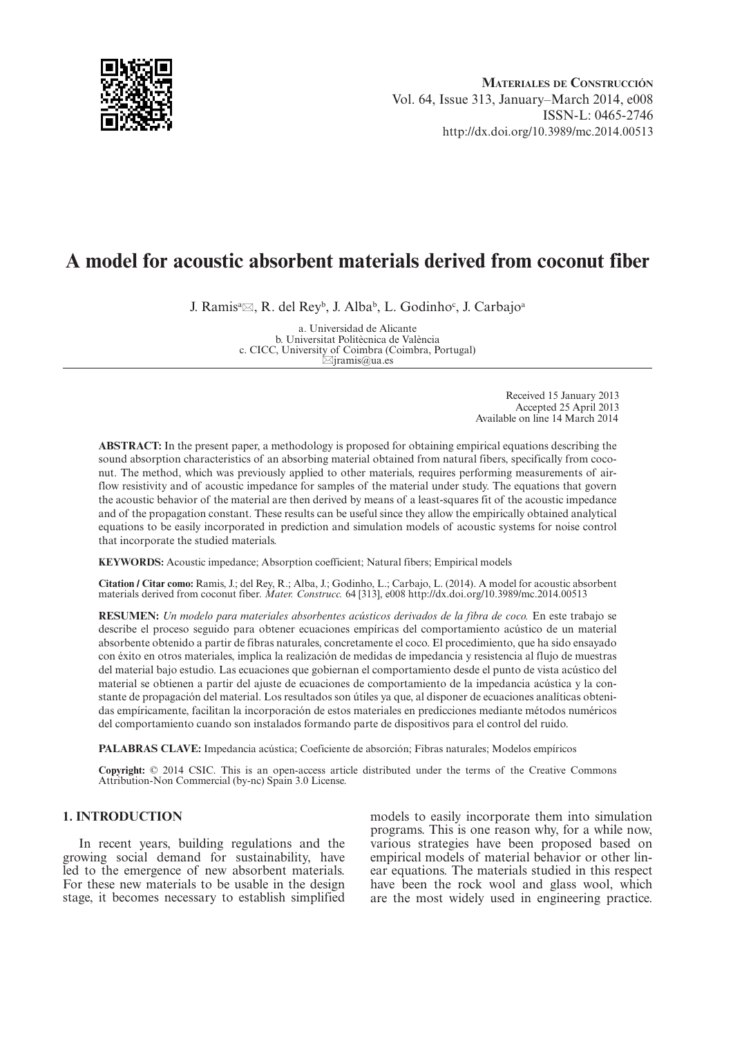

# **A model for acoustic absorbent materials derived from coconut fiber**

J. Ramisª⊠, R. del Rey<sup>b</sup>, J. Alba<sup>b</sup>, L. Godinho<sup>c</sup>, J. Carbajoª

a. Universidad de Alicante b. Universitat Politècnica de València c. CICC, University of Coimbra (Coimbra, Portugal) \*jramis@ua.es

> Received 15 January 2013 Accepted 25 April 2013 Available on line 14 March 2014

**ABSTRACT:** In the present paper, a methodology is proposed for obtaining empirical equations describing the sound absorption characteristics of an absorbing material obtained from natural fibers, specifically from coconut. The method, which was previously applied to other materials, requires performing measurements of airflow resistivity and of acoustic impedance for samples of the material under study. The equations that govern the acoustic behavior of the material are then derived by means of a least-squares fit of the acoustic impedance and of the propagation constant. These results can be useful since they allow the empirically obtained analytical equations to be easily incorporated in prediction and simulation models of acoustic systems for noise control that incorporate the studied materials.

**KEYWORDS:** Acoustic impedance; Absorption coefficient; Natural fibers; Empirical models

**Citation / Citar como:** Ramis, J.; del Rey, R.; Alba, J.; Godinho, L.; Carbajo, L. (2014). A model for acoustic absorbent materials derived from coconut fiber. *Mater. Construcc.* 64 [313], e008 <http://dx.doi.org/10.3989/mc.2014.00513>

**RESUMEN:** *Un modelo para materiales absorbentes acústicos derivados de la fibra de coco.* En este trabajo se describe el proceso seguido para obtener ecuaciones empíricas del comportamiento acústico de un material absorbente obtenido a partir de fibras naturales, concretamente el coco. El procedimiento, que ha sido ensayado con éxito en otros materiales, implica la realización de medidas de impedancia y resistencia al flujo de muestras del material bajo estudio. Las ecuaciones que gobiernan el comportamiento desde el punto de vista acústico del material se obtienen a partir del ajuste de ecuaciones de comportamiento de la impedancia acústica y la constante de propagación del material. Los resultados son útiles ya que, al disponer de ecuaciones analíticas obtenidas empíricamente, facilitan la incorporación de estos materiales en predicciones mediante métodos numéricos del comportamiento cuando son instalados formando parte de dispositivos para el control del ruido.

**PALABRAS CLAVE:** Impedancia acústica; Coeficiente de absorción; Fibras naturales; Modelos empíricos

**Copyright:** © 2014 CSIC. This is an open-access article distributed under the terms of the Creative Commons Attribution-Non Commercial (by-nc) Spain 3.0 License.

# **1. INTRODUCTION**

In recent years, building regulations and the growing social demand for sustainability, have led to the emergence of new absorbent materials. For these new materials to be usable in the design stage, it becomes necessary to establish simplified models to easily incorporate them into simulation programs. This is one reason why, for a while now, various strategies have been proposed based on empirical models of material behavior or other linear equations. The materials studied in this respect have been the rock wool and glass wool, which are the most widely used in engineering practice.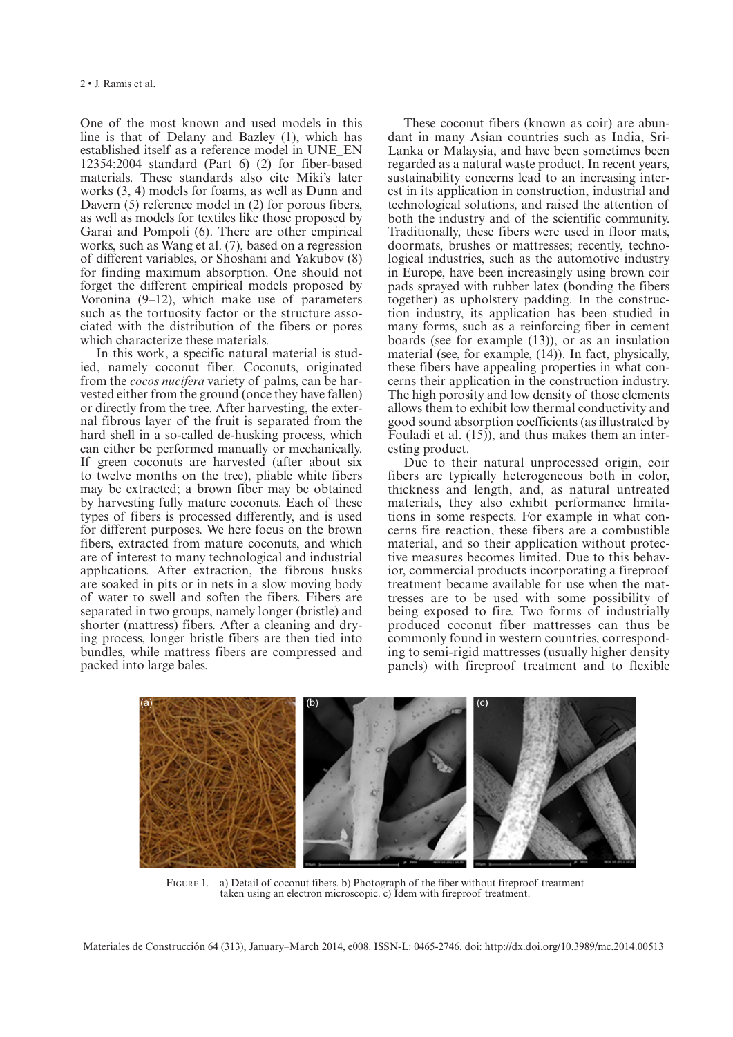One of the most known and used models in this line is that of Delany and Bazley (1), which has established itself as a reference model in UNE\_EN 12354:2004 standard (Part 6) (2) for fiber-based materials. These standards also cite Miki's later works (3, 4) models for foams, as well as Dunn and Davern (5) reference model in (2) for porous fibers, as well as models for textiles like those proposed by Garai and Pompoli (6). There are other empirical works, such as Wang et al. (7), based on a regression of different variables, or Shoshani and Yakubov (8) for finding maximum absorption. One should not forget the different empirical models proposed by Voronina (9–12), which make use of parameters such as the tortuosity factor or the structure associated with the distribution of the fibers or pores which characterize these materials.

In this work, a specific natural material is studied, namely coconut fiber. Coconuts, originated from the *cocos nucifera* variety of palms, can be harvested either from the ground (once they have fallen) or directly from the tree. After harvesting, the external fibrous layer of the fruit is separated from the hard shell in a so-called de-husking process, which can either be performed manually or mechanically. If green coconuts are harvested (after about six to twelve months on the tree), pliable white fibers may be extracted; a brown fiber may be obtained by harvesting fully mature coconuts. Each of these types of fibers is processed differently, and is used for different purposes. We here focus on the brown fibers, extracted from mature coconuts, and which are of interest to many technological and industrial applications. After extraction, the fibrous husks are soaked in pits or in nets in a slow moving body of water to swell and soften the fibers. Fibers are separated in two groups, namely longer (bristle) and shorter (mattress) fibers. After a cleaning and drying process, longer bristle fibers are then tied into bundles, while mattress fibers are compressed and packed into large bales.

These coconut fibers (known as coir) are abundant in many Asian countries such as India, Sri-Lanka or Malaysia, and have been sometimes been regarded as a natural waste product. In recent years, sustainability concerns lead to an increasing interest in its application in construction, industrial and technological solutions, and raised the attention of both the industry and of the scientific community. Traditionally, these fibers were used in floor mats, doormats, brushes or mattresses; recently, technological industries, such as the automotive industry in Europe, have been increasingly using brown coir pads sprayed with rubber latex (bonding the fibers together) as upholstery padding. In the construction industry, its application has been studied in many forms, such as a reinforcing fiber in cement boards (see for example (13)), or as an insulation material (see, for example, (14)). In fact, physically, these fibers have appealing properties in what concerns their application in the construction industry. The high porosity and low density of those elements allows them to exhibit low thermal conductivity and good sound absorption coefficients (as illustrated by Fouladi et al. (15)), and thus makes them an interesting product.

Due to their natural unprocessed origin, coir fibers are typically heterogeneous both in color, thickness and length, and, as natural untreated materials, they also exhibit performance limitations in some respects. For example in what concerns fire reaction, these fibers are a combustible material, and so their application without protective measures becomes limited. Due to this behavior, commercial products incorporating a fireproof treatment became available for use when the mattresses are to be used with some possibility of being exposed to fire. Two forms of industrially produced coconut fiber mattresses can thus be commonly found in western countries, corresponding to semi-rigid mattresses (usually higher density panels) with fireproof treatment and to flexible



FIGURE 1. a) Detail of coconut fibers. b) Photograph of the fiber without fireproof treatment taken using an electron microscopic. c) Idem with fireproof treatment.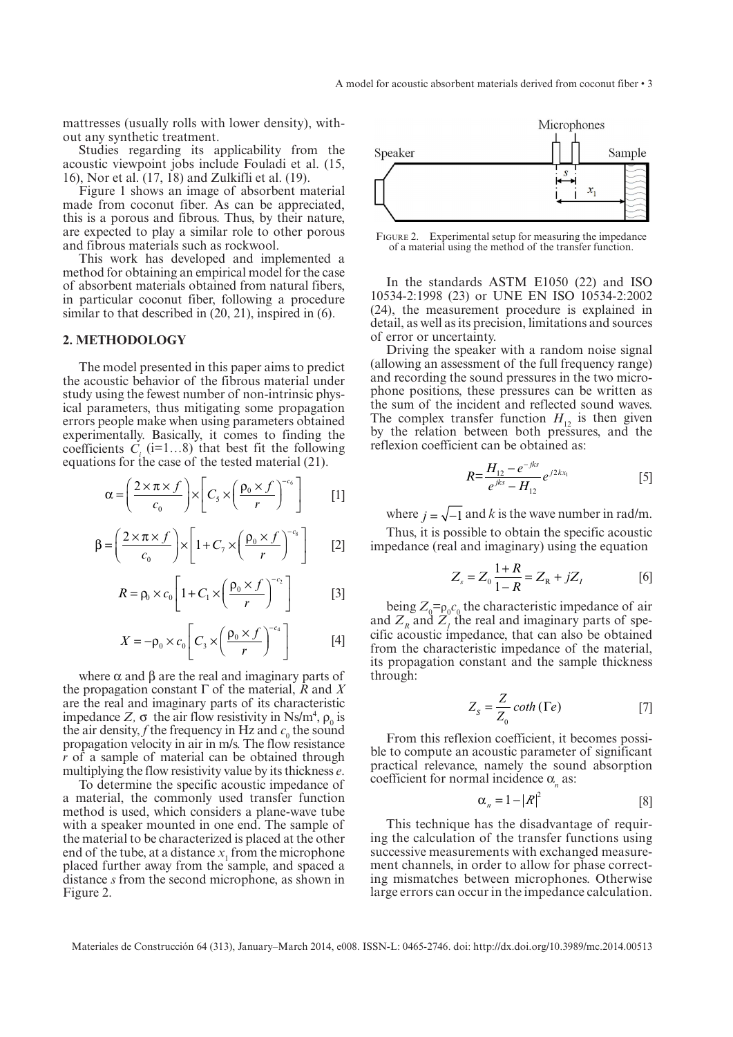mattresses (usually rolls with lower density), without any synthetic treatment.

Studies regarding its applicability from the acoustic viewpoint jobs include Fouladi et al. (15, 16), Nor et al. (17, 18) and Zulkifli et al. (19).

Figure 1 shows an image of absorbent material made from coconut fiber. As can be appreciated, this is a porous and fibrous. Thus, by their nature, are expected to play a similar role to other porous and fibrous materials such as rockwool.

This work has developed and implemented a method for obtaining an empirical model for the case of absorbent materials obtained from natural fibers, in particular coconut fiber, following a procedure similar to that described in  $(20, 21)$ , inspired in  $(6)$ .

### **2. METHODOLOGY**

The model presented in this paper aims to predict the acoustic behavior of the fibrous material under study using the fewest number of non-intrinsic physical parameters, thus mitigating some propagation errors people make when using parameters obtained experimentally. Basically, it comes to finding the coefficients  $\vec{C}$  (i=1...8) that best fit the following equations for the case of the tested material (21).

$$
\alpha = \left(\frac{2 \times \pi \times f}{c_0}\right) \times \left[C_s \times \left(\frac{\rho_0 \times f}{r}\right)^{-c_6}\right]
$$
 [1]

$$
\beta = \left(\frac{2 \times \pi \times f}{c_0}\right) \times \left[1 + C_7 \times \left(\frac{\rho_0 \times f}{r}\right)^{-c_8}\right] \qquad [2]
$$

$$
R = \rho_0 \times c_0 \left[ 1 + C_1 \times \left( \frac{\rho_0 \times f}{r} \right)^{-c_2} \right]
$$
 [3]

$$
X = -\rho_0 \times c_0 \left[ C_3 \times \left( \frac{\rho_0 \times f}{r} \right)^{-c_4} \right]
$$
 [4]

where  $\alpha$  and  $\beta$  are the real and imaginary parts of the propagation constant Γ of the material, *R* and *X* are the real and imaginary parts of its characteristic impedance  $Z$ ,  $\sigma$  the air flow resistivity in Ns/m<sup>4</sup>,  $\rho_0$  is the air density, *f* the frequency in Hz and  $c_0$  the sound propagation velocity in air in m/s. The flow resistance *r* of a sample of material can be obtained through multiplying the flow resistivity value by its thickness *e*.

To determine the specific acoustic impedance of a material, the commonly used transfer function method is used, which considers a plane-wave tube with a speaker mounted in one end. The sample of the material to be characterized is placed at the other end of the tube, at a distance  $x_1$  from the microphone placed further away from the sample, and spaced a distance *s* from the second microphone, as shown in Figure 2.



FIGURE 2. Experimental setup for measuring the impedance of a material using the method of the transfer function.

In the standards ASTM E1050 (22) and ISO 10534-2:1998 (23) or UNE EN ISO 10534-2:2002 (24), the measurement procedure is explained in detail, as well as its precision, limitations and sources of error or uncertainty.

Driving the speaker with a random noise signal (allowing an assessment of the full frequency range) and recording the sound pressures in the two microphone positions, these pressures can be written as the sum of the incident and reflected sound waves. The complex transfer function  $H<sub>12</sub>$  is then given by the relation between both pressures, and the reflexion coefficient can be obtained as:

$$
R = \frac{H_{12} - e^{-jks}}{e^{jks} - H_{12}} e^{j2kx_1}
$$
 [5]

where  $j = \sqrt{-1}$  and k is the wave number in rad/m.

Thus, it is possible to obtain the specific acoustic impedance (real and imaginary) using the equation

$$
Z_s = Z_0 \frac{1+R}{1-R} = Z_R + jZ_I
$$
 [6]

being  $Z_0 = \rho_0 c_0$  the characteristic impedance of air and  $Z<sub>R</sub>$  and  $Z<sub>I</sub>$ <sup>the</sup> real and imaginary parts of specific acoustic impedance, that can also be obtained from the characteristic impedance of the material, its propagation constant and the sample thickness through:

$$
Z_s = \frac{Z}{Z_0} \coth\left(\Gamma e\right) \tag{7}
$$

From this reflexion coefficient, it becomes possible to compute an acoustic parameter of significant practical relevance, namely the sound absorption coefficient for normal incidence  $\alpha_n$  as:

$$
\alpha_n = 1 - |R|^2 \tag{8}
$$

This technique has the disadvantage of requiring the calculation of the transfer functions using successive measurements with exchanged measurement channels, in order to allow for phase correcting mismatches between microphones. Otherwise large errors can occur in the impedance calculation.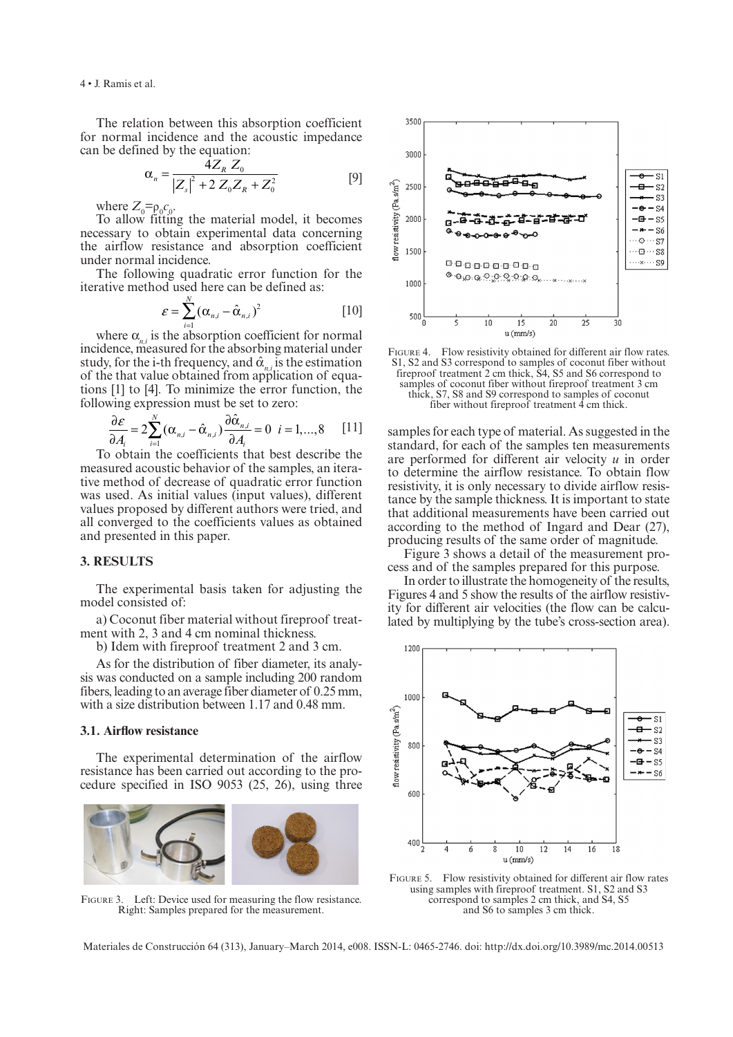The relation between this absorption coefficient for normal incidence and the acoustic impedance can be defined by the equation:

$$
\alpha_n = \frac{4Z_R Z_0}{|Z_s|^2 + 2Z_0 Z_R + Z_0^2}
$$
 [9]

where  $Z_0 = \rho_0 c_0$ .

To allow fitting the material model, it becomes necessary to obtain experimental data concerning the airflow resistance and absorption coefficient under normal incidence.

The following quadratic error function for the iterative method used here can be defined as:

$$
\varepsilon = \sum_{i=1}^{N} (\alpha_{n,i} - \hat{\alpha}_{n,i})^2
$$
 [10]

where  $\alpha_{n,i}$  is the absorption coefficient for normal incidence, measured for the absorbing material under study, for the i-th frequency, and  $\hat{\alpha}_{n,i}$  is the estimation of the that value obtained from application of equations [1] to [4]. To minimize the error function, the following expression must be set to zero:

$$
\frac{\partial \varepsilon}{\partial A_i} = 2 \sum_{i=1}^N (\alpha_{n,i} - \hat{\alpha}_{n,i}) \frac{\partial \hat{\alpha}_{n,i}}{\partial A_i} = 0 \quad i = 1,...,8 \quad [11]
$$

To obtain the coefficients that best describe the measured acoustic behavior of the samples, an iterative method of decrease of quadratic error function was used. As initial values (input values), different values proposed by different authors were tried, and all converged to the coefficients values as obtained and presented in this paper.

# **3. RESULTS**

The experimental basis taken for adjusting the model consisted of:

a) Coconut fiber material without fireproof treatment with 2, 3 and 4 cm nominal thickness.

b) Idem with fireproof treatment 2 and 3 cm.

As for the distribution of fiber diameter, its analysis was conducted on a sample including 200 random fibers, leading to an average fiber diameter of 0.25 mm, with a size distribution between 1.17 and 0.48 mm.

## **3.1. Airflow resistance**

The experimental determination of the airflow resistance has been carried out according to the procedure specified in ISO 9053 (25, 26), using three



Figure 3. Left: Device used for measuring the flow resistance. Right: Samples prepared for the measurement.



FIGURE 4. Flow resistivity obtained for different air flow rates. S1, S2 and S3 correspond to samples of coconut fiber without fireproof treatment 2 cm thick, S4, S5 and S6 correspond to samples of coconut fiber without fireproof treatment 3 cm thick, S7, S8 and S9 correspond to samples of coconut fiber without fireproof treatment 4 cm thick.

samples for each type of material. As suggested in the standard, for each of the samples ten measurements are performed for different air velocity *u* in order to determine the airflow resistance. To obtain flow resistivity, it is only necessary to divide airflow resistance by the sample thickness. It is important to state that additional measurements have been carried out according to the method of Ingard and Dear (27), producing results of the same order of magnitude.

Figure 3 shows a detail of the measurement process and of the samples prepared for this purpose.

In order to illustrate the homogeneity of the results, Figures 4 and 5 show the results of the airflow resistivity for different air velocities (the flow can be calculated by multiplying by the tube's cross-section area).



Figure 5. Flow resistivity obtained for different air flow rates using samples with fireproof treatment. S1, S2 and S3 correspond to samples 2 cm thick, and S4, S5 and S6 to samples 3 cm thick.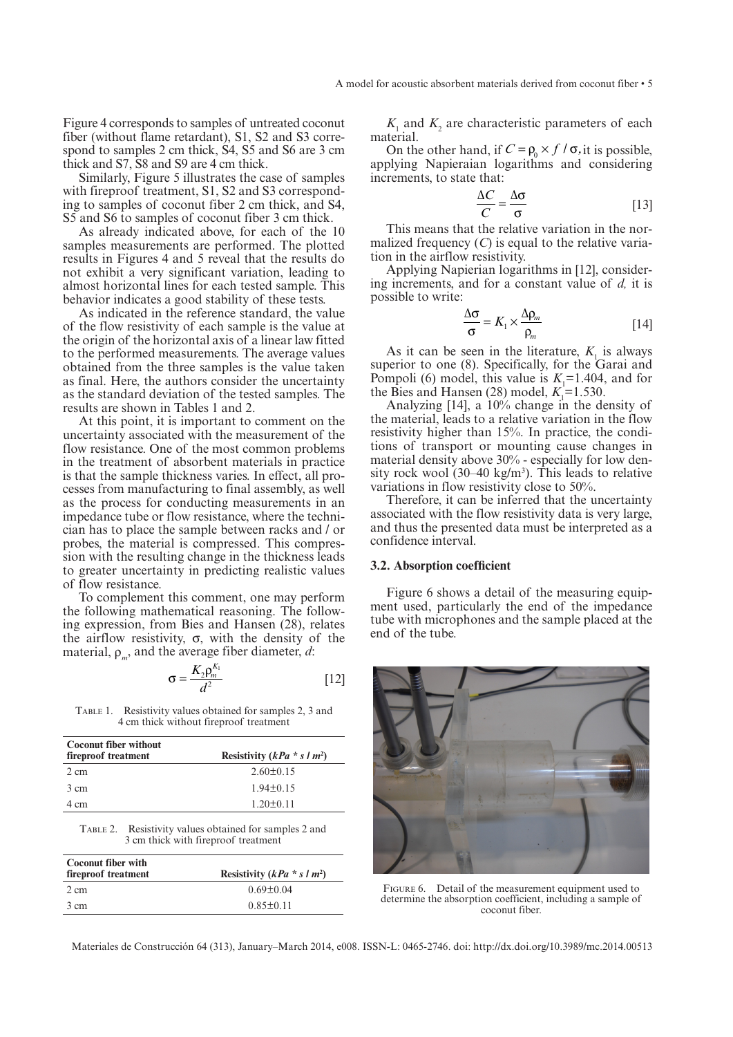Figure 4 corresponds to samples of untreated coconut fiber (without flame retardant), S1, S2 and S3 correspond to samples 2 cm thick, S4, S5 and S6 are 3 cm thick and S7, S8 and S9 are 4 cm thick.

Similarly, Figure 5 illustrates the case of samples with fireproof treatment, S1, S2 and S3 corresponding to samples of coconut fiber 2 cm thick, and S4, S5 and S6 to samples of coconut fiber 3 cm thick.

As already indicated above, for each of the 10 samples measurements are performed. The plotted results in Figures 4 and 5 reveal that the results do not exhibit a very significant variation, leading to almost horizontal lines for each tested sample. This behavior indicates a good stability of these tests.

As indicated in the reference standard, the value of the flow resistivity of each sample is the value at the origin of the horizontal axis of a linear law fitted to the performed measurements. The average values obtained from the three samples is the value taken as final. Here, the authors consider the uncertainty as the standard deviation of the tested samples. The results are shown in Tables 1 and 2.

At this point, it is important to comment on the uncertainty associated with the measurement of the flow resistance. One of the most common problems in the treatment of absorbent materials in practice is that the sample thickness varies. In effect, all processes from manufacturing to final assembly, as well as the process for conducting measurements in an impedance tube or flow resistance, where the technician has to place the sample between racks and / or probes, the material is compressed. This compression with the resulting change in the thickness leads to greater uncertainty in predicting realistic values of flow resistance.

To complement this comment, one may perform the following mathematical reasoning. The following expression, from Bies and Hansen (28), relates the airflow resistivity,  $\sigma$ , with the density of the material,  $\rho_m$ , and the average fiber diameter, *d*:

$$
\sigma = \frac{K_2 \rho_m^{K_1}}{d^2} \tag{12}
$$

TABLE 1. Resistivity values obtained for samples 2, 3 and 4 cm thick without fireproof treatment

| <b>Coconut fiber without</b><br>fireproof treatment | Resistivity $(kPa * s/m^2)$ |  |  |  |
|-----------------------------------------------------|-----------------------------|--|--|--|
| 2 cm                                                | $2.60 \pm 0.15$             |  |  |  |
| 3 cm                                                | $1.94 \pm 0.15$             |  |  |  |
| 4 cm                                                | $1.20 + 0.11$               |  |  |  |

| Table 2. | Resistivity values obtained for samples 2 and |
|----------|-----------------------------------------------|
|          | 3 cm thick with fireproof treatment           |

| <b>Coconut fiber with</b><br>fireproof treatment | Resistivity $(kPa * s/m^2)$ |  |  |  |
|--------------------------------------------------|-----------------------------|--|--|--|
| 2 cm                                             | $0.69 \pm 0.04$             |  |  |  |
| 3 cm                                             | $0.85 \pm 0.11$             |  |  |  |

 $K_1$  and  $K_2$  are characteristic parameters of each material.

On the other hand, if  $C = \rho_0 \times f / \sigma$ , it is possible, applying Napieraian logarithms and considering increments, to state that:

$$
\frac{\Delta C}{C} = \frac{\Delta \sigma}{\sigma} \tag{13}
$$

This means that the relative variation in the normalized frequency  $(C)$  is equal to the relative variation in the airflow resistivity.

Applying Napierian logarithms in [12], considering increments, and for a constant value of *d,* it is possible to write:

$$
\frac{\Delta \sigma}{\sigma} = K_1 \times \frac{\Delta \rho_m}{\rho_m} \tag{14}
$$

As it can be seen in the literature,  $K_{\text{l}}$  is always superior to one (8). Specifically, for the Garai and Pompoli (6) model, this value is  $K_1 = 1.404$ , and for the Bies and Hansen  $(28)$  model,  $K<sub>1</sub>=1.530$ .

Analyzing [14], a 10% change in the density of the material, leads to a relative variation in the flow resistivity higher than 15%. In practice, the conditions of transport or mounting cause changes in material density above 30% - especially for low density rock wool  $(30-40 \text{ kg/m}^3)$ . This leads to relative variations in flow resistivity close to 50%.

Therefore, it can be inferred that the uncertainty associated with the flow resistivity data is very large, and thus the presented data must be interpreted as a confidence interval.

#### **3.2. Absorption coefficient**

Figure 6 shows a detail of the measuring equipment used, particularly the end of the impedance tube with microphones and the sample placed at the end of the tube.



FIGURE 6. Detail of the measurement equipment used to determine the absorption coefficient, including a sample of coconut fiber.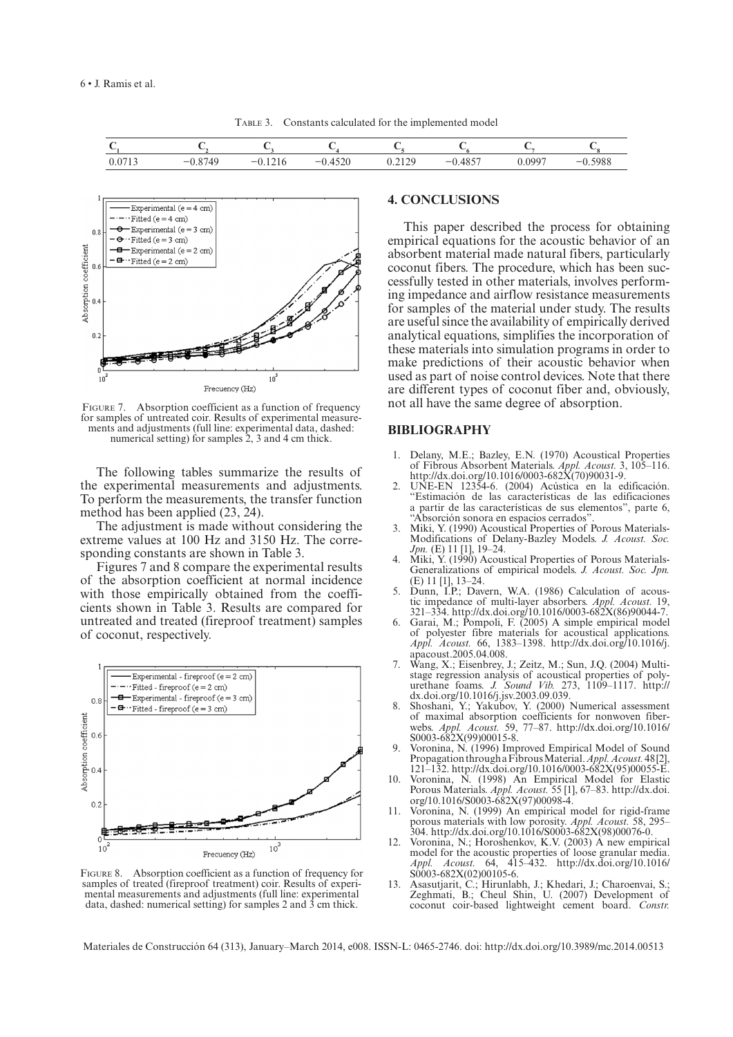TABLE 3. Constants calculated for the implemented model

| . . |                          |  |          | ັ |
|-----|--------------------------|--|----------|---|
| _   | $\overline{\phantom{a}}$ |  | $-$<br>- |   |



FIGURE 7. Absorption coefficient as a function of frequency for samples of untreated coir. Results of experimental measurefor samples of untreated coir. Results of experimental measure- ments and adjustments (full line: experimental data, dashed: numerical setting) for samples 2, 3 and 4 cm thick.

The following tables summarize the results of the experimental measurements and adjustments. To perform the measurements, the transfer function method has been applied (23, 24).

The adjustment is made without considering the extreme values at 100 Hz and 3150 Hz. The corresponding constants are shown in Table 3.

Figures 7 and 8 compare the experimental results of the absorption coefficient at normal incidence with those empirically obtained from the coefficients shown in Table 3. Results are compared for untreated and treated (fireproof treatment) samples of coconut, respectively.



FIGURE 8. Absorption coefficient as a function of frequency for samples of treated (fireproof treatment) coir. Results of experimental measurements and adjustments (full line: experimental data, dashed: numerical setting) for samples 2 and 3 cm thick.

## **4. CONCLUSIONS**

This paper described the process for obtaining empirical equations for the acoustic behavior of an absorbent material made natural fibers, particularly coconut fibers. The procedure, which has been successfully tested in other materials, involves performing impedance and airflow resistance measurements for samples of the material under study. The results are useful since the availability of empirically derived analytical equations, simplifies the incorporation of these materials into simulation programs in order to make predictions of their acoustic behavior when used as part of noise control devices. Note that there are different types of coconut fiber and, obviously, not all have the same degree of absorption.

### **BIBLIOGRAPHY**

- 1. Delany, M.E.; Bazley, E.N. (1970) Acoustical Properties of Fibrous Absorbent Materials. *Appl. Acoust.* 3, 105–116. [http://dx.doi.org/10.1016/0003-682X\(70\)90031-9.](http://dx.doi.org/10.1016/0003-682X(70)90031-9)
- 2. UNE-EN 12354-6. (2004) Acústica en la edificación. "Estimación de las características de las edificaciones a partir de las características de sus elementos", parte 6, "Absorción sonora en espacios cerrados".
- Miki, Y. (1990) Acoustical Properties of Porous Materials-Modifications of Delany-Bazley Models. *J. Acoust. Soc. Jpn.* (E) 11 [1], 19–24.
- Miki, Y. (1990) Acoustical Properties of Porous Materials-Generalizations of empirical models. *J. Acoust. Soc. Jpn.* (E) 11 [1], 13–24.
- Dunn, I.P.; Davern, W.A. (1986) Calculation of acoustic impedance of multi-layer absorbers. *Appl. Acoust.* 19, 321–334. [http://dx.doi.org/10.1016/0003-682X\(86\)90044-7.](http://dx.doi.org/10.1016/0003-682X(86)90044-7)
- 6. Garai, M.; Pompoli, F. (2005) A simple empirical model of polyester fibre materials for acoustical applications. *Appl. Acoust.* 66, 1383–1398. [http://dx.doi.org/10.1016/j.](http://dx.doi.org/10.1016/j.apacoust.2005.04.008) [apacoust.2005.04.008](http://dx.doi.org/10.1016/j.apacoust.2005.04.008).
- 7. Wang, X.; Eisenbrey, J.; Zeitz, M.; Sun, J.Q. (2004) Multistage regression analysis of acoustical properties of polyurethane foams. *J. Sound Vib.* 273, 1109–1117. [http://](http://dx.doi.org/10.1016/j.jsv.2003.09.039) [dx.doi.org/10.1016/j.jsv.2003.09.039.](http://dx.doi.org/10.1016/j.jsv.2003.09.039)
- 8. Shoshani, Y.; Yakubov, Y. (2000) Numerical assessment of maximal absorption coefficients for nonwoven fiberwebs. *Appl. Acoust.* 59, 77–87. [http://dx.doi.org/10.1016/](http://dx.doi.org/10.1016/S0003-682X(99)00015-8) [S0003-682X\(99\)00015-8](http://dx.doi.org/10.1016/S0003-682X(99)00015-8). 9. Voronina, N. (1996) Improved Empirical Model of Sound
- Propagation through a Fibrous Material. *Appl. Acoust.* 48 [2], 121–132. [http://dx.doi.org/10.1016/0003-682X\(95\)00055-E.](http://dx.doi.org/10.1016/0003-682X(95)00055-E)
- 10. Voronina, N. (1998) An Empirical Model for Elastic Porous Materials. *Appl. Acoust.* 55 [1], 67–83. [http://dx.doi.](http://dx.doi.org/10.1016/S0003-682X(97)00098-4) [org/10.1016/S0003-682X\(97\)00098-4.](http://dx.doi.org/10.1016/S0003-682X(97)00098-4)
- 11. Voronina, N. (1999) An empirical model for rigid-frame porous materials with low porosity. *Appl. Acoust.* 58, 295– 304. [http://dx.doi.org/10.1016/S0003-682X\(98\)00076-0](http://dx.doi.org/10.1016/S0003-682X(98)00076-0).
- 12. Voronina, N.; Horoshenkov, K.V. (2003) A new empirical model for the acoustic properties of loose granular media. *Appl. Acoust.* 64, 415–432. [http://dx.doi.org/10.1016/](http://dx.doi.org/10.1016/S0003-682X(02)00105-6) [S0003-682X\(02\)00105-6](http://dx.doi.org/10.1016/S0003-682X(02)00105-6).
- 13. Asasutjarit, C.; Hirunlabh, J.; Khedari, J.; Charoenvai, S.; Zeghmati, B.; Cheul Shin, U. (2007) Development of coconut coir-based lightweight cement board. *Constr.*